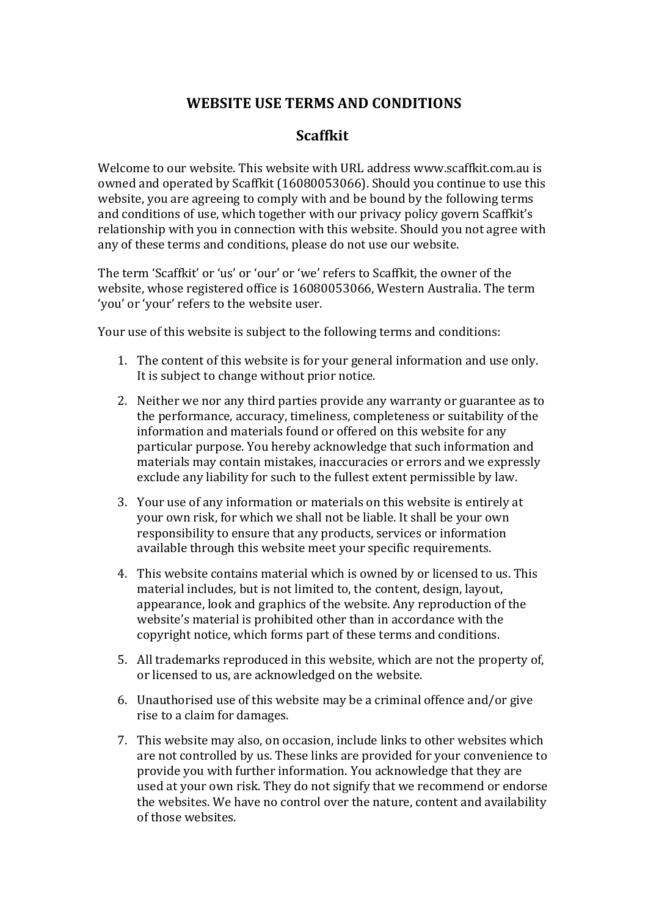## **WEBSITE USE TERMS AND CONDITIONS**

## **Scaffkit**

Welcome to our website. This website with URL address www.scaffkit.com.au is owned and operated by Scaffkit (16080053066). Should you continue to use this website, you are agreeing to comply with and be bound by the following terms and conditions of use, which together with our privacy policy govern Scaffkit's relationship with you in connection with this website. Should you not agree with any of these terms and conditions, please do not use our website.

The term 'Scaffkit' or 'us' or 'our' or 'we' refers to Scaffkit, the owner of the website, whose registered office is 16080053066, Western Australia. The term 'you' or 'your' refers to the website user.

Your use of this website is subject to the following terms and conditions:

- 1. The content of this website is for your general information and use only. It is subject to change without prior notice.
- 2. Neither we nor any third parties provide any warranty or guarantee as to the performance, accuracy, timeliness, completeness or suitability of the information and materials found or offered on this website for any particular purpose. You hereby acknowledge that such information and materials may contain mistakes, inaccuracies or errors and we expressly exclude any liability for such to the fullest extent permissible by law.
- 3. Your use of any information or materials on this website is entirely at your own risk, for which we shall not be liable. It shall be your own responsibility to ensure that any products, services or information available through this website meet your specific requirements.
- 4. This website contains material which is owned by or licensed to us. This material includes, but is not limited to, the content, design, layout, appearance, look and graphics of the website. Any reproduction of the website's material is prohibited other than in accordance with the copyright notice, which forms part of these terms and conditions.
- 5. All trademarks reproduced in this website, which are not the property of, or licensed to us, are acknowledged on the website.
- 6. Unauthorised use of this website may be a criminal offence and/or give rise to a claim for damages.
- 7. This website may also, on occasion, include links to other websites which are not controlled by us. These links are provided for your convenience to provide you with further information. You acknowledge that they are used at your own risk. They do not signify that we recommend or endorse the websites. We have no control over the nature, content and availability of those websites.